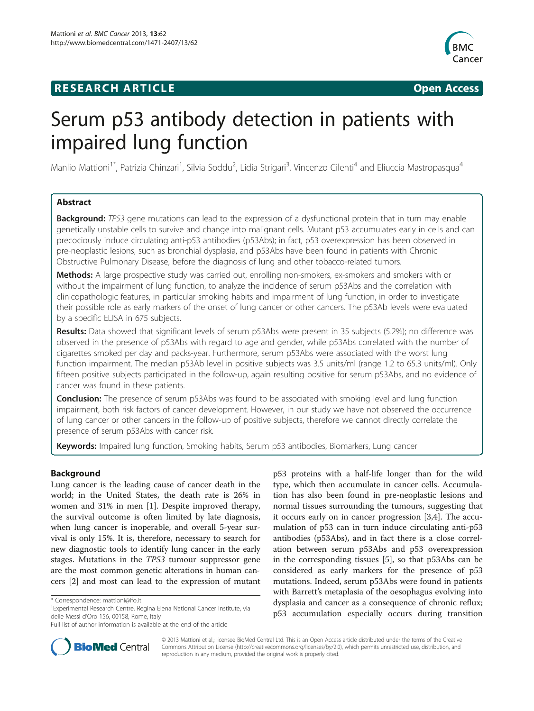# **RESEARCH ARTICLE Example 2018 12:00 Open Access**



# Serum p53 antibody detection in patients with impaired lung function

Manlio Mattioni<sup>1\*</sup>, Patrizia Chinzari<sup>1</sup>, Silvia Soddu<sup>2</sup>, Lidia Strigari<sup>3</sup>, Vincenzo Cilenti<sup>4</sup> and Eliuccia Mastropasqua<sup>4</sup>

# Abstract

**Background:** TP53 gene mutations can lead to the expression of a dysfunctional protein that in turn may enable genetically unstable cells to survive and change into malignant cells. Mutant p53 accumulates early in cells and can precociously induce circulating anti-p53 antibodies (p53Abs); in fact, p53 overexpression has been observed in pre-neoplastic lesions, such as bronchial dysplasia, and p53Abs have been found in patients with Chronic Obstructive Pulmonary Disease, before the diagnosis of lung and other tobacco-related tumors.

**Methods:** A large prospective study was carried out, enrolling non-smokers, ex-smokers and smokers with or without the impairment of lung function, to analyze the incidence of serum p53Abs and the correlation with clinicopathologic features, in particular smoking habits and impairment of lung function, in order to investigate their possible role as early markers of the onset of lung cancer or other cancers. The p53Ab levels were evaluated by a specific ELISA in 675 subjects.

Results: Data showed that significant levels of serum p53Abs were present in 35 subjects (5.2%); no difference was observed in the presence of p53Abs with regard to age and gender, while p53Abs correlated with the number of cigarettes smoked per day and packs-year. Furthermore, serum p53Abs were associated with the worst lung function impairment. The median p53Ab level in positive subjects was 3.5 units/ml (range 1.2 to 65.3 units/ml). Only fifteen positive subjects participated in the follow-up, again resulting positive for serum p53Abs, and no evidence of cancer was found in these patients.

**Conclusion:** The presence of serum p53Abs was found to be associated with smoking level and lung function impairment, both risk factors of cancer development. However, in our study we have not observed the occurrence of lung cancer or other cancers in the follow-up of positive subjects, therefore we cannot directly correlate the presence of serum p53Abs with cancer risk.

Keywords: Impaired lung function, Smoking habits, Serum p53 antibodies, Biomarkers, Lung cancer

# Background

Lung cancer is the leading cause of cancer death in the world; in the United States, the death rate is 26% in women and 31% in men [[1](#page-5-0)]. Despite improved therapy, the survival outcome is often limited by late diagnosis, when lung cancer is inoperable, and overall 5-year survival is only 15%. It is, therefore, necessary to search for new diagnostic tools to identify lung cancer in the early stages. Mutations in the TP53 tumour suppressor gene are the most common genetic alterations in human cancers [[2\]](#page-5-0) and most can lead to the expression of mutant p53 proteins with a half-life longer than for the wild type, which then accumulate in cancer cells. Accumulation has also been found in pre-neoplastic lesions and normal tissues surrounding the tumours, suggesting that it occurs early on in cancer progression [\[3,4](#page-5-0)]. The accumulation of p53 can in turn induce circulating anti-p53 antibodies (p53Abs), and in fact there is a close correlation between serum p53Abs and p53 overexpression in the corresponding tissues [[5\]](#page-6-0), so that p53Abs can be considered as early markers for the presence of p53 mutations. Indeed, serum p53Abs were found in patients with Barrett's metaplasia of the oesophagus evolving into dysplasia and cancer as a consequence of chronic reflux; p53 accumulation especially occurs during transition



© 2013 Mattioni et al.; licensee BioMed Central Ltd. This is an Open Access article distributed under the terms of the Creative Commons Attribution License [\(http://creativecommons.org/licenses/by/2.0\)](http://creativecommons.org/licenses/by/2.0), which permits unrestricted use, distribution, and reproduction in any medium, provided the original work is properly cited.

<sup>\*</sup> Correspondence: [mattioni@ifo.it](mailto:mattioni@ifo.it) <sup>1</sup>

<sup>&</sup>lt;sup>1</sup> Experimental Research Centre, Regina Elena National Cancer Institute, via delle Messi d'Oro 156, 00158, Rome, Italy

Full list of author information is available at the end of the article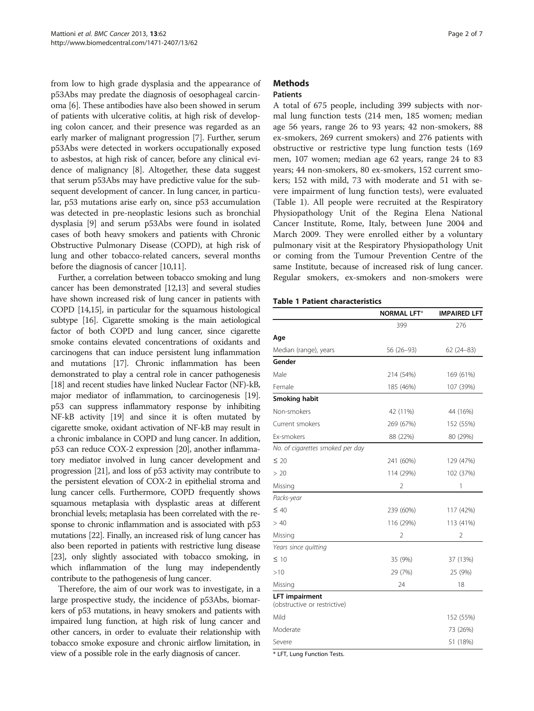from low to high grade dysplasia and the appearance of p53Abs may predate the diagnosis of oesophageal carcinoma [[6\]](#page-6-0). These antibodies have also been showed in serum of patients with ulcerative colitis, at high risk of developing colon cancer, and their presence was regarded as an early marker of malignant progression [[7\]](#page-6-0). Further, serum p53Abs were detected in workers occupationally exposed to asbestos, at high risk of cancer, before any clinical evidence of malignancy [[8\]](#page-6-0). Altogether, these data suggest that serum p53Abs may have predictive value for the subsequent development of cancer. In lung cancer, in particular, p53 mutations arise early on, since p53 accumulation was detected in pre-neoplastic lesions such as bronchial dysplasia [[9\]](#page-6-0) and serum p53Abs were found in isolated cases of both heavy smokers and patients with Chronic Obstructive Pulmonary Disease (COPD), at high risk of lung and other tobacco-related cancers, several months before the diagnosis of cancer [\[10,11\]](#page-6-0).

Further, a correlation between tobacco smoking and lung cancer has been demonstrated [[12,13](#page-6-0)] and several studies have shown increased risk of lung cancer in patients with COPD [[14,15\]](#page-6-0), in particular for the squamous histological subtype [[16](#page-6-0)]. Cigarette smoking is the main aetiological factor of both COPD and lung cancer, since cigarette smoke contains elevated concentrations of oxidants and carcinogens that can induce persistent lung inflammation and mutations [\[17\]](#page-6-0). Chronic inflammation has been demonstrated to play a central role in cancer pathogenesis [[18](#page-6-0)] and recent studies have linked Nuclear Factor (NF)-kB, major mediator of inflammation, to carcinogenesis [\[19](#page-6-0)]. p53 can suppress inflammatory response by inhibiting NF-kB activity [\[19\]](#page-6-0) and since it is often mutated by cigarette smoke, oxidant activation of NF-kB may result in a chronic imbalance in COPD and lung cancer. In addition, p53 can reduce COX-2 expression [\[20\]](#page-6-0), another inflammatory mediator involved in lung cancer development and progression [\[21\]](#page-6-0), and loss of p53 activity may contribute to the persistent elevation of COX-2 in epithelial stroma and lung cancer cells. Furthermore, COPD frequently shows squamous metaplasia with dysplastic areas at different bronchial levels; metaplasia has been correlated with the response to chronic inflammation and is associated with p53 mutations [\[22](#page-6-0)]. Finally, an increased risk of lung cancer has also been reported in patients with restrictive lung disease [[23](#page-6-0)], only slightly associated with tobacco smoking, in which inflammation of the lung may independently contribute to the pathogenesis of lung cancer.

Therefore, the aim of our work was to investigate, in a large prospective study, the incidence of p53Abs, biomarkers of p53 mutations, in heavy smokers and patients with impaired lung function, at high risk of lung cancer and other cancers, in order to evaluate their relationship with tobacco smoke exposure and chronic airflow limitation, in view of a possible role in the early diagnosis of cancer.

# **Methods**

# **Patients**

A total of 675 people, including 399 subjects with normal lung function tests (214 men, 185 women; median age 56 years, range 26 to 93 years; 42 non-smokers, 88 ex-smokers, 269 current smokers) and 276 patients with obstructive or restrictive type lung function tests (169 men, 107 women; median age 62 years, range 24 to 83 years; 44 non-smokers, 80 ex-smokers, 152 current smokers; 152 with mild, 73 with moderate and 51 with severe impairment of lung function tests), were evaluated (Table 1). All people were recruited at the Respiratory Physiopathology Unit of the Regina Elena National Cancer Institute, Rome, Italy, between June 2004 and March 2009. They were enrolled either by a voluntary pulmonary visit at the Respiratory Physiopathology Unit or coming from the Tumour Prevention Centre of the same Institute, because of increased risk of lung cancer. Regular smokers, ex-smokers and non-smokers were

#### Table 1 Patient characteristics

|                                                       | <b>NORMAL LFT*</b>     | <b>IMPAIRED LFT</b> |  |
|-------------------------------------------------------|------------------------|---------------------|--|
|                                                       | 399                    | 276                 |  |
| Age                                                   |                        |                     |  |
| Median (range), years                                 | 56 (26-93)             | $62(24-83)$         |  |
| Gender                                                |                        |                     |  |
| Male                                                  | 214 (54%)              | 169 (61%)           |  |
| Female                                                | 185 (46%)              | 107 (39%)           |  |
| Smoking habit                                         |                        |                     |  |
| Non-smokers                                           | 42 (11%)               | 44 (16%)            |  |
| Current smokers                                       | 269 (67%)<br>152 (55%) |                     |  |
| Ex-smokers                                            | 88 (22%)               | 80 (29%)            |  |
| No. of cigarettes smoked per day                      |                        |                     |  |
| $\leq 20$                                             | 241 (60%)              | 129 (47%)           |  |
| > 20                                                  | 114 (29%)              | 102 (37%)           |  |
| Missing                                               | 2                      | 1                   |  |
| Packs-year                                            |                        |                     |  |
| $\leq 40$                                             | 239 (60%)<br>117 (42%) |                     |  |
| > 40                                                  | 116 (29%)<br>113 (41%) |                     |  |
| Missing                                               | 2                      | 2                   |  |
| Years since quitting                                  |                        |                     |  |
| $\leq 10$                                             | 35 (9%)                | 37 (13%)            |  |
| >10                                                   | 29 (7%)                | 25 (9%)             |  |
| Missing                                               | 24                     | 18                  |  |
| <b>LFT impairment</b><br>(obstructive or restrictive) |                        |                     |  |
| Mild                                                  |                        | 152 (55%)           |  |
| Moderate                                              |                        | 73 (26%)            |  |
| Severe                                                |                        | 51 (18%)            |  |
| * LET Lung Eunction Tocts                             |                        |                     |  |

LFT, Lung Function Tests.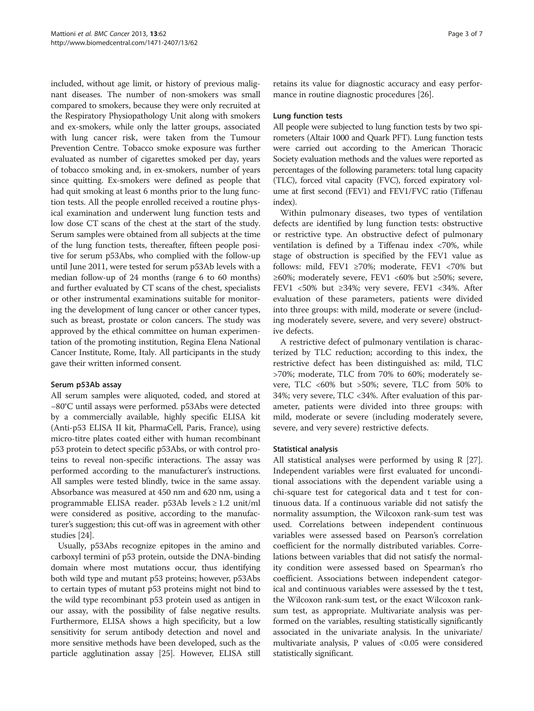included, without age limit, or history of previous malignant diseases. The number of non-smokers was small compared to smokers, because they were only recruited at the Respiratory Physiopathology Unit along with smokers and ex-smokers, while only the latter groups, associated with lung cancer risk, were taken from the Tumour Prevention Centre. Tobacco smoke exposure was further evaluated as number of cigarettes smoked per day, years of tobacco smoking and, in ex-smokers, number of years since quitting. Ex-smokers were defined as people that had quit smoking at least 6 months prior to the lung function tests. All the people enrolled received a routine physical examination and underwent lung function tests and low dose CT scans of the chest at the start of the study. Serum samples were obtained from all subjects at the time of the lung function tests, thereafter, fifteen people positive for serum p53Abs, who complied with the follow-up until June 2011, were tested for serum p53Ab levels with a median follow-up of 24 months (range 6 to 60 months) and further evaluated by CT scans of the chest, specialists or other instrumental examinations suitable for monitoring the development of lung cancer or other cancer types, such as breast, prostate or colon cancers. The study was approved by the ethical committee on human experimentation of the promoting institution, Regina Elena National Cancer Institute, Rome, Italy. All participants in the study gave their written informed consent.

# Serum p53Ab assay

All serum samples were aliquoted, coded, and stored at −80°C until assays were performed. p53Abs were detected by a commercially available, highly specific ELISA kit (Anti-p53 ELISA II kit, PharmaCell, Paris, France), using micro-titre plates coated either with human recombinant p53 protein to detect specific p53Abs, or with control proteins to reveal non-specific interactions. The assay was performed according to the manufacturer's instructions. All samples were tested blindly, twice in the same assay. Absorbance was measured at 450 nm and 620 nm, using a programmable ELISA reader. p53Ab levels ≥ 1.2 unit/ml were considered as positive, according to the manufacturer's suggestion; this cut-off was in agreement with other studies [\[24\]](#page-6-0).

Usually, p53Abs recognize epitopes in the amino and carboxyl termini of p53 protein, outside the DNA-binding domain where most mutations occur, thus identifying both wild type and mutant p53 proteins; however, p53Abs to certain types of mutant p53 proteins might not bind to the wild type recombinant p53 protein used as antigen in our assay, with the possibility of false negative results. Furthermore, ELISA shows a high specificity, but a low sensitivity for serum antibody detection and novel and more sensitive methods have been developed, such as the particle agglutination assay [\[25\]](#page-6-0). However, ELISA still retains its value for diagnostic accuracy and easy performance in routine diagnostic procedures [\[26\]](#page-6-0).

### Lung function tests

All people were subjected to lung function tests by two spirometers (Altair 1000 and Quark PFT). Lung function tests were carried out according to the American Thoracic Society evaluation methods and the values were reported as percentages of the following parameters: total lung capacity (TLC), forced vital capacity (FVC), forced expiratory volume at first second (FEV1) and FEV1/FVC ratio (Tiffenau index).

Within pulmonary diseases, two types of ventilation defects are identified by lung function tests: obstructive or restrictive type. An obstructive defect of pulmonary ventilation is defined by a Tiffenau index <70%, while stage of obstruction is specified by the FEV1 value as follows: mild, FEV1 ≥70%; moderate, FEV1 <70% but ≥60%; moderately severe, FEV1 <60% but ≥50%; severe, FEV1 <50% but ≥34%; very severe, FEV1 <34%. After evaluation of these parameters, patients were divided into three groups: with mild, moderate or severe (including moderately severe, severe, and very severe) obstructive defects.

A restrictive defect of pulmonary ventilation is characterized by TLC reduction; according to this index, the restrictive defect has been distinguished as: mild, TLC >70%; moderate, TLC from 70% to 60%; moderately severe, TLC <60% but >50%; severe, TLC from 50% to 34%; very severe, TLC <34%. After evaluation of this parameter, patients were divided into three groups: with mild, moderate or severe (including moderately severe, severe, and very severe) restrictive defects.

#### Statistical analysis

All statistical analyses were performed by using R [\[27](#page-6-0)]. Independent variables were first evaluated for unconditional associations with the dependent variable using a chi-square test for categorical data and t test for continuous data. If a continuous variable did not satisfy the normality assumption, the Wilcoxon rank-sum test was used. Correlations between independent continuous variables were assessed based on Pearson's correlation coefficient for the normally distributed variables. Correlations between variables that did not satisfy the normality condition were assessed based on Spearman's rho coefficient. Associations between independent categorical and continuous variables were assessed by the t test, the Wilcoxon rank-sum test, or the exact Wilcoxon ranksum test, as appropriate. Multivariate analysis was performed on the variables, resulting statistically significantly associated in the univariate analysis. In the univariate/ multivariate analysis, P values of <0.05 were considered statistically significant.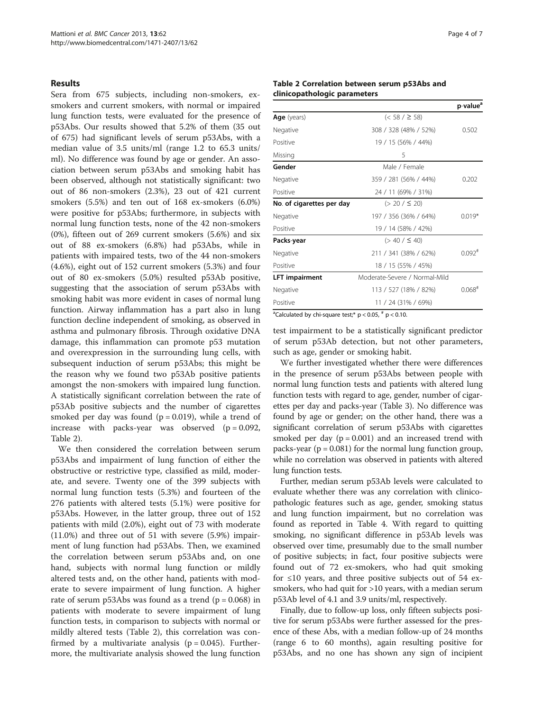### Results

Sera from 675 subjects, including non-smokers, exsmokers and current smokers, with normal or impaired lung function tests, were evaluated for the presence of p53Abs. Our results showed that 5.2% of them (35 out of 675) had significant levels of serum p53Abs, with a median value of 3.5 units/ml (range 1.2 to 65.3 units/ ml). No difference was found by age or gender. An association between serum p53Abs and smoking habit has been observed, although not statistically significant: two out of 86 non-smokers (2.3%), 23 out of 421 current smokers (5.5%) and ten out of 168 ex-smokers (6.0%) were positive for p53Abs; furthermore, in subjects with normal lung function tests, none of the 42 non-smokers (0%), fifteen out of 269 current smokers (5.6%) and six out of 88 ex-smokers (6.8%) had p53Abs, while in patients with impaired tests, two of the 44 non-smokers (4.6%), eight out of 152 current smokers (5.3%) and four out of 80 ex-smokers (5.0%) resulted p53Ab positive, suggesting that the association of serum p53Abs with smoking habit was more evident in cases of normal lung function. Airway inflammation has a part also in lung function decline independent of smoking, as observed in asthma and pulmonary fibrosis. Through oxidative DNA damage, this inflammation can promote p53 mutation and overexpression in the surrounding lung cells, with subsequent induction of serum p53Abs; this might be the reason why we found two p53Ab positive patients amongst the non-smokers with impaired lung function. A statistically significant correlation between the rate of p53Ab positive subjects and the number of cigarettes smoked per day was found ( $p = 0.019$ ), while a trend of increase with packs-year was observed  $(p = 0.092,$ Table 2).

We then considered the correlation between serum p53Abs and impairment of lung function of either the obstructive or restrictive type, classified as mild, moderate, and severe. Twenty one of the 399 subjects with normal lung function tests (5.3%) and fourteen of the 276 patients with altered tests (5.1%) were positive for p53Abs. However, in the latter group, three out of 152 patients with mild (2.0%), eight out of 73 with moderate (11.0%) and three out of 51 with severe (5.9%) impairment of lung function had p53Abs. Then, we examined the correlation between serum p53Abs and, on one hand, subjects with normal lung function or mildly altered tests and, on the other hand, patients with moderate to severe impairment of lung function. A higher rate of serum p53Abs was found as a trend  $(p = 0.068)$  in patients with moderate to severe impairment of lung function tests, in comparison to subjects with normal or mildly altered tests (Table 2), this correlation was confirmed by a multivariate analysis ( $p = 0.045$ ). Furthermore, the multivariate analysis showed the lung function

### Table 2 Correlation between serum p53Abs and clinicopathologic parameters

|                           |                               | p-value <sup>a</sup> |
|---------------------------|-------------------------------|----------------------|
| Age (years)               | $(< 58 / \ge 58)$             |                      |
| Negative                  | 308 / 328 (48% / 52%)         | 0.502                |
| Positive                  | 19 / 15 (56% / 44%)           |                      |
| Missing                   | 5                             |                      |
| Gender                    | Male / Female                 |                      |
| Negative                  | 359 / 281 (56% / 44%)         | 0.202                |
| Positive                  | 24 / 11 (69% / 31%)           |                      |
| No. of cigarettes per day | $(> 20 / \leq 20)$            |                      |
| Negative                  | 197 / 356 (36% / 64%)         | $0.019*$             |
| Positive                  | 19 / 14 (58% / 42%)           |                      |
| Packs-year                | $(> 40 / \leq 40)$            |                      |
| Negative                  | 211 / 341 (38% / 62%)         | $0.092$ <sup>#</sup> |
| Positive                  | 18 / 15 (55% / 45%)           |                      |
| <b>LFT</b> impairment     | Moderate-Severe / Normal-Mild |                      |
| Negative                  | 113 / 527 (18% / 82%)         | $0.068$ <sup>#</sup> |
| Positive                  | 11 / 24 (31% / 69%)           |                      |

<sup>a</sup>Calculated by chi-square test;\*  $p < 0.05$ ,  $p \nless 0.10$ .

test impairment to be a statistically significant predictor of serum p53Ab detection, but not other parameters, such as age, gender or smoking habit.

We further investigated whether there were differences in the presence of serum p53Abs between people with normal lung function tests and patients with altered lung function tests with regard to age, gender, number of cigarettes per day and packs-year (Table [3\)](#page-4-0). No difference was found by age or gender; on the other hand, there was a significant correlation of serum p53Abs with cigarettes smoked per day  $(p = 0.001)$  and an increased trend with packs-year ( $p = 0.081$ ) for the normal lung function group, while no correlation was observed in patients with altered lung function tests.

Further, median serum p53Ab levels were calculated to evaluate whether there was any correlation with clinicopathologic features such as age, gender, smoking status and lung function impairment, but no correlation was found as reported in Table [4](#page-4-0). With regard to quitting smoking, no significant difference in p53Ab levels was observed over time, presumably due to the small number of positive subjects; in fact, four positive subjects were found out of 72 ex-smokers, who had quit smoking for ≤10 years, and three positive subjects out of 54 exsmokers, who had quit for >10 years, with a median serum p53Ab level of 4.1 and 3.9 units/ml, respectively.

Finally, due to follow-up loss, only fifteen subjects positive for serum p53Abs were further assessed for the presence of these Abs, with a median follow-up of 24 months (range 6 to 60 months), again resulting positive for p53Abs, and no one has shown any sign of incipient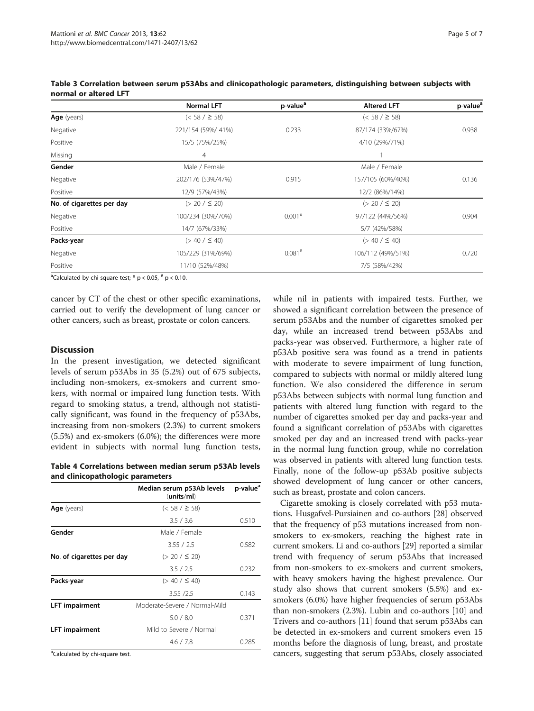|                           | <b>Normal LFT</b>  | p-value <sup>a</sup> | <b>Altered LFT</b> | p-value <sup>a</sup> |
|---------------------------|--------------------|----------------------|--------------------|----------------------|
| Age (years)               | $(< 58 / \ge 58)$  |                      | $(< 58 / \ge 58)$  |                      |
| Negative                  | 221/154 (59%/ 41%) | 0.233                | 87/174 (33%/67%)   | 0.938                |
| Positive                  | 15/5 (75%/25%)     |                      | 4/10 (29%/71%)     |                      |
| Missing                   | $\overline{4}$     |                      |                    |                      |
| Gender                    | Male / Female      |                      | Male / Female      |                      |
| Negative                  | 202/176 (53%/47%)  | 0.915                | 157/105 (60%/40%)  | 0.136                |
| Positive                  | 12/9 (57%/43%)     |                      | 12/2 (86%/14%)     |                      |
| No. of cigarettes per day | $(> 20 / \le 20)$  |                      | $(> 20 / \le 20)$  |                      |
| Negative                  | 100/234 (30%/70%)  | $0.001*$             | 97/122 (44%/56%)   | 0.904                |
| Positive                  | 14/7 (67%/33%)     |                      | 5/7 (42%/58%)      |                      |
| Packs-year                | $(> 40 / \leq 40)$ |                      | $(> 40 / \leq 40)$ |                      |
| Negative                  | 105/229 (31%/69%)  | $0.081$ #            | 106/112 (49%/51%)  | 0.720                |
| Positive                  | 11/10 (52%/48%)    |                      | 7/5 (58%/42%)      |                      |

<span id="page-4-0"></span>Table 3 Correlation between serum p53Abs and clinicopathologic parameters, distinguishing between subjects with normal or altered LFT

<sup>a</sup>Calculated by chi-square test;  $*$  p < 0.05,  $*$  p < 0.10.

cancer by CT of the chest or other specific examinations, carried out to verify the development of lung cancer or other cancers, such as breast, prostate or colon cancers.

# **Discussion**

In the present investigation, we detected significant levels of serum p53Abs in 35 (5.2%) out of 675 subjects, including non-smokers, ex-smokers and current smokers, with normal or impaired lung function tests. With regard to smoking status, a trend, although not statistically significant, was found in the frequency of p53Abs, increasing from non-smokers (2.3%) to current smokers (5.5%) and ex-smokers (6.0%); the differences were more evident in subjects with normal lung function tests,

Table 4 Correlations between median serum p53Ab levels and clinicopathologic parameters

|                           | Median serum p53Ab levels<br>(units/ml) | p-value <sup>a</sup> |
|---------------------------|-----------------------------------------|----------------------|
| Age (years)               | $(< 58 / \geq 58)$                      |                      |
|                           | 3.5 / 3.6                               | 0.510                |
| Gender                    | Male / Female                           |                      |
|                           | 3.55 / 2.5                              | 0.582                |
| No. of cigarettes per day | $(> 20 / \leq 20)$                      |                      |
|                           | 3.5 / 2.5                               | 0.232                |
| Packs-year                | $(> 40 / \leq 40)$                      |                      |
|                           | 3.55 / 2.5                              | 0.143                |
| <b>LFT</b> impairment     | Moderate-Severe / Normal-Mild           |                      |
|                           | 5.0 / 8.0                               | 0.371                |
| <b>LFT</b> impairment     | Mild to Severe / Normal                 |                      |
|                           | 4.6 / 7.8                               | 0.285                |
| .                         |                                         |                      |

<sup>a</sup>Calculated by chi-square test.

while nil in patients with impaired tests. Further, we showed a significant correlation between the presence of serum p53Abs and the number of cigarettes smoked per day, while an increased trend between p53Abs and packs-year was observed. Furthermore, a higher rate of p53Ab positive sera was found as a trend in patients with moderate to severe impairment of lung function, compared to subjects with normal or mildly altered lung function. We also considered the difference in serum p53Abs between subjects with normal lung function and patients with altered lung function with regard to the number of cigarettes smoked per day and packs-year and found a significant correlation of p53Abs with cigarettes smoked per day and an increased trend with packs-year in the normal lung function group, while no correlation was observed in patients with altered lung function tests. Finally, none of the follow-up p53Ab positive subjects showed development of lung cancer or other cancers, such as breast, prostate and colon cancers.

Cigarette smoking is closely correlated with p53 mutations. Husgafvel-Pursiainen and co-authors [\[28](#page-6-0)] observed that the frequency of p53 mutations increased from nonsmokers to ex-smokers, reaching the highest rate in current smokers. Li and co-authors [[29\]](#page-6-0) reported a similar trend with frequency of serum p53Abs that increased from non-smokers to ex-smokers and current smokers, with heavy smokers having the highest prevalence. Our study also shows that current smokers (5.5%) and exsmokers (6.0%) have higher frequencies of serum p53Abs than non-smokers (2.3%). Lubin and co-authors [\[10](#page-6-0)] and Trivers and co-authors [[11](#page-6-0)] found that serum p53Abs can be detected in ex-smokers and current smokers even 15 months before the diagnosis of lung, breast, and prostate cancers, suggesting that serum p53Abs, closely associated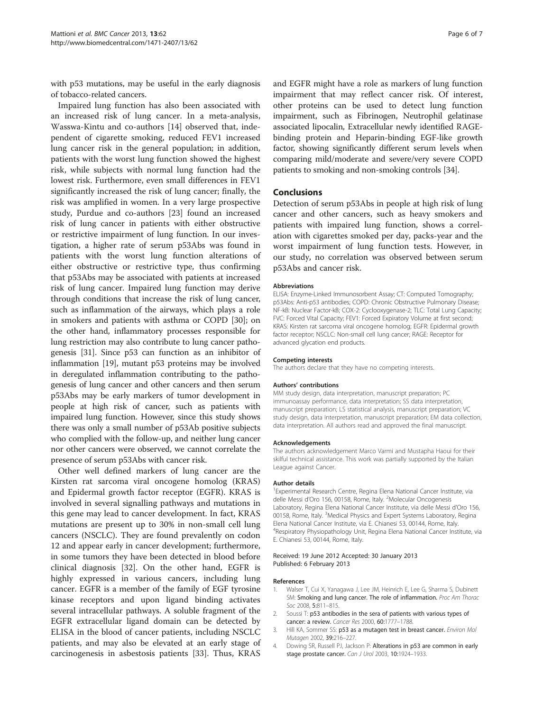<span id="page-5-0"></span>with p53 mutations, may be useful in the early diagnosis of tobacco-related cancers.

Impaired lung function has also been associated with an increased risk of lung cancer. In a meta-analysis, Wasswa-Kintu and co-authors [\[14\]](#page-6-0) observed that, independent of cigarette smoking, reduced FEV1 increased lung cancer risk in the general population; in addition, patients with the worst lung function showed the highest risk, while subjects with normal lung function had the lowest risk. Furthermore, even small differences in FEV1 significantly increased the risk of lung cancer; finally, the risk was amplified in women. In a very large prospective study, Purdue and co-authors [\[23](#page-6-0)] found an increased risk of lung cancer in patients with either obstructive or restrictive impairment of lung function. In our investigation, a higher rate of serum p53Abs was found in patients with the worst lung function alterations of either obstructive or restrictive type, thus confirming that p53Abs may be associated with patients at increased risk of lung cancer. Impaired lung function may derive through conditions that increase the risk of lung cancer, such as inflammation of the airways, which plays a role in smokers and patients with asthma or COPD [\[30](#page-6-0)]; on the other hand, inflammatory processes responsible for lung restriction may also contribute to lung cancer pathogenesis [\[31\]](#page-6-0). Since p53 can function as an inhibitor of inflammation [\[19\]](#page-6-0), mutant p53 proteins may be involved in deregulated inflammation contributing to the pathogenesis of lung cancer and other cancers and then serum p53Abs may be early markers of tumor development in people at high risk of cancer, such as patients with impaired lung function. However, since this study shows there was only a small number of p53Ab positive subjects who complied with the follow-up, and neither lung cancer nor other cancers were observed, we cannot correlate the presence of serum p53Abs with cancer risk.

Other well defined markers of lung cancer are the Kirsten rat sarcoma viral oncogene homolog (KRAS) and Epidermal growth factor receptor (EGFR). KRAS is involved in several signalling pathways and mutations in this gene may lead to cancer development. In fact, KRAS mutations are present up to 30% in non-small cell lung cancers (NSCLC). They are found prevalently on codon 12 and appear early in cancer development; furthermore, in some tumors they have been detected in blood before clinical diagnosis [\[32](#page-6-0)]. On the other hand, EGFR is highly expressed in various cancers, including lung cancer. EGFR is a member of the family of EGF tyrosine kinase receptors and upon ligand binding activates several intracellular pathways. A soluble fragment of the EGFR extracellular ligand domain can be detected by ELISA in the blood of cancer patients, including NSCLC patients, and may also be elevated at an early stage of carcinogenesis in asbestosis patients [[33\]](#page-6-0). Thus, KRAS and EGFR might have a role as markers of lung function impairment that may reflect cancer risk. Of interest, other proteins can be used to detect lung function impairment, such as Fibrinogen, Neutrophil gelatinase associated lipocalin, Extracellular newly identified RAGEbinding protein and Heparin-binding EGF-like growth factor, showing significantly different serum levels when comparing mild/moderate and severe/very severe COPD patients to smoking and non-smoking controls [[34](#page-6-0)].

#### **Conclusions**

Detection of serum p53Abs in people at high risk of lung cancer and other cancers, such as heavy smokers and patients with impaired lung function, shows a correlation with cigarettes smoked per day, packs-year and the worst impairment of lung function tests. However, in our study, no correlation was observed between serum p53Abs and cancer risk.

#### **Abbreviations**

ELISA: Enzyme-Linked Immunosorbent Assay; CT: Computed Tomography; p53Abs: Anti-p53 antibodies; COPD: Chronic Obstructive Pulmonary Disease; NF-kB: Nuclear Factor-kB; COX-2: Cyclooxygenase-2; TLC: Total Lung Capacity; FVC: Forced Vital Capacity; FEV1: Forced Expiratory Volume at first second; KRAS: Kirsten rat sarcoma viral oncogene homolog; EGFR: Epidermal growth factor receptor; NSCLC: Non-small cell lung cancer; RAGE: Receptor for advanced glycation end products.

#### Competing interests

The authors declare that they have no competing interests.

#### Authors' contributions

MM study design, data interpretation, manuscript preparation; PC immunoassay performance, data interpretation; SS data interpretation, manuscript preparation; LS statistical analysis, manuscript preparation; VC study design, data interpretation, manuscript preparation; FM data collection, data interpretation. All authors read and approved the final manuscript.

#### Acknowledgements

The authors acknowledgement Marco Varmi and Mustapha Haoui for their skilful technical assistance. This work was partially supported by the Italian League against Cancer.

#### Author details

<sup>1</sup> Experimental Research Centre, Regina Elena National Cancer Institute, via delle Messi d'Oro 156, 00158, Rome, Italy. <sup>2</sup>Molecular Oncogenesis Laboratory, Regina Elena National Cancer Institute, via delle Messi d'Oro 156, 00158, Rome, Italy. <sup>3</sup>Medical Physics and Expert Systems Laboratory, Regina Elena National Cancer Institute, via E. Chianesi 53, 00144, Rome, Italy. 4 Respiratory Physiopathology Unit, Regina Elena National Cancer Institute, via E. Chianesi 53, 00144, Rome, Italy.

#### Received: 19 June 2012 Accepted: 30 January 2013 Published: 6 February 2013

#### References

- 1. Walser T, Cui X, Yanagawa J, Lee JM, Heinrich E, Lee G, Sharma S, Dubinett SM: Smoking and lung cancer. The role of inflammation. Proc Am Thorac Soc 2008, 5:811-815.
- 2. Soussi T: p53 antibodies in the sera of patients with various types of cancer: a review. Cancer Res 2000, 60:1777–1788.
- 3. Hill KA, Sommer SS: p53 as a mutagen test in breast cancer. Environ Mol Mutagen 2002, 39:216–227.
- 4. Dowing SR, Russell PJ, Jackson P: Alterations in p53 are common in early stage prostate cancer. Can J Urol 2003, 10:1924–1933.